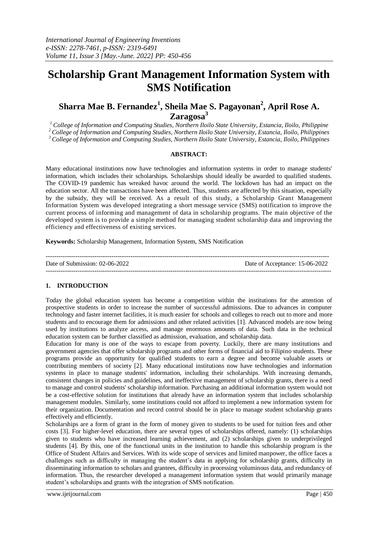# **Scholarship Grant Management Information System with SMS Notification**

## **Sharra Mae B. Fernandez<sup>1</sup> , Sheila Mae S. Pagayonan<sup>2</sup> , April Rose A. Zaragosa<sup>3</sup>**

*<sup>1</sup> College of Information and Computing Studies, Northern Iloilo State University, Estancia, Iloilo, Philippine <sup>2</sup>College of Information and Computing Studies, Northern Iloilo State University, Estancia, Iloilo, Philippines <sup>3</sup>College of Information and Computing Studies, Northern Iloilo State University, Estancia, Iloilo, Philippines*

#### **ABSTRACT:**

Many educational institutions now have technologies and information systems in order to manage students' information, which includes their scholarships. Scholarships should ideally be awarded to qualified students. The COVID-19 pandemic has wreaked havoc around the world. The lockdown has had an impact on the education sector. All the transactions have been affected. Thus, students are affected by this situation, especially by the subsidy, they will be received. As a result of this study, a Scholarship Grant Management Information System was developed integrating a short message service (SMS) notification to improve the current process of informing and management of data in scholarship programs. The main objective of the developed system is to provide a simple method for managing student scholarship data and improving the efficiency and effectiveness of existing services.

**Keywords:** Scholarship Management, Information System, SMS Notification

| Date of Submission: 02-06-2022 | Date of Acceptance: 15-06-2022 |
|--------------------------------|--------------------------------|
|                                |                                |

## **1. INTRODUCTION**

Today the global education system has become a competition within the institutions for the attention of prospective students in order to increase the number of successful admissions. Due to advances in computer technology and faster internet facilities, it is much easier for schools and colleges to reach out to more and more students and to encourage them for admissions and other related activities [1]. Advanced models are now being used by institutions to analyze access, and manage enormous amounts of data. Such data in the technical education system can be further classified as admission, evaluation, and scholarship data.

Education for many is one of the ways to escape from poverty. Luckily, there are many institutions and government agencies that offer scholarship programs and other forms of financial aid to Filipino students. These programs provide an opportunity for qualified students to earn a degree and become valuable assets or contributing members of society [2]. Many educational institutions now have technologies and information systems in place to manage students' information, including their scholarships. With increasing demands, consistent changes in policies and guidelines, and ineffective management of scholarship grants, there is a need to manage and control students' scholarship information. Purchasing an additional information system would not be a cost-effective solution for institutions that already have an information system that includes scholarship management modules. Similarly, some institutions could not afford to implement a new information system for their organization. Documentation and record control should be in place to manage student scholarship grants effectively and efficiently.

Scholarships are a form of grant in the form of money given to students to be used for tuition fees and other costs [3]. For higher-level education, there are several types of scholarships offered, namely: (1) scholarships given to students who have increased learning achievement, and (2) scholarships given to underprivileged students [4]. By this, one of the functional units in the institution to handle this scholarship program is the Office of Student Affairs and Services. With its wide scope of services and limited manpower, the office faces a challenges such as difficulty in managing the student's data in applying for scholarship grants, difficulty in disseminating information to scholars and grantees, difficulty in processing voluminous data, and redundancy of information. Thus, the researcher developed a management information system that would primarily manage student's scholarships and grants with the integration of SMS notification.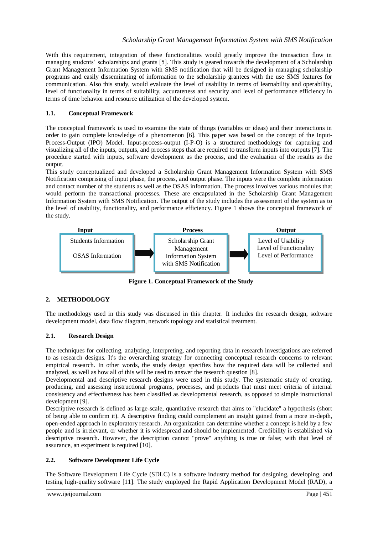With this requirement, integration of these functionalities would greatly improve the transaction flow in managing students' scholarships and grants [5]. This study is geared towards the development of a Scholarship Grant Management Information System with SMS notification that will be designed in managing scholarship programs and easily disseminating of information to the scholarship grantees with the use SMS features for communication. Also this study, would evaluate the level of usability in terms of learnability and operability, level of functionality in terms of suitability, accurateness and security and level of performance efficiency in terms of time behavior and resource utilization of the developed system.

## **1.1. Conceptual Framework**

The conceptual framework is used to examine the state of things (variables or ideas) and their interactions in order to gain complete knowledge of a phenomenon [6]. This paper was based on the concept of the Input-Process-Output (IPO) Model. Input-process-output (I-P-O) is a structured methodology for capturing and visualizing all of the inputs, outputs, and process steps that are required to transform inputs into outputs [7]. The procedure started with inputs, software development as the process, and the evaluation of the results as the output.

This study conceptualized and developed a Scholarship Grant Management Information System with SMS Notification comprising of input phase, the process, and output phase. The inputs were the complete information and contact number of the students as well as the OSAS information. The process involves various modules that would perform the transactional processes. These are encapsulated in the Scholarship Grant Management Information System with SMS Notification. The output of the study includes the assessment of the system as to the level of usability, functionality, and performance efficiency. Figure 1 shows the conceptual framework of the study.



**Figure 1. Conceptual Framework of the Study**

## **2. METHODOLOGY**

The methodology used in this study was discussed in this chapter. It includes the research design, software development model, data flow diagram, network topology and statistical treatment.

## **2.1. Research Design**

The techniques for collecting, analyzing, interpreting, and reporting data in research investigations are referred to as research designs. It's the overarching strategy for connecting conceptual research concerns to relevant empirical research. In other words, the study design specifies how the required data will be collected and analyzed, as well as how all of this will be used to answer the research question [8].

Developmental and descriptive research designs were used in this study. The systematic study of creating, producing, and assessing instructional programs, processes, and products that must meet criteria of internal consistency and effectiveness has been classified as developmental research, as opposed to simple instructional development [9].

Descriptive research is defined as large-scale, quantitative research that aims to "elucidate" a hypothesis (short of being able to confirm it). A descriptive finding could complement an insight gained from a more in-depth, open-ended approach in exploratory research. An organization can determine whether a concept is held by a few people and is irrelevant, or whether it is widespread and should be implemented. Credibility is established via descriptive research. However, the description cannot "prove" anything is true or false; with that level of assurance, an experiment is required [10].

## **2.2. Software Development Life Cycle**

The Software Development Life Cycle (SDLC) is a software industry method for designing, developing, and testing high-quality software [11]. The study employed the Rapid Application Development Model (RAD), a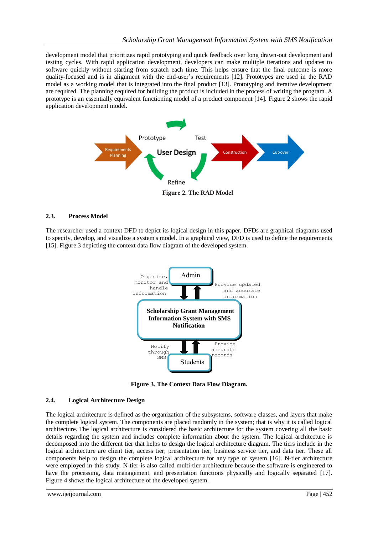development model that prioritizes rapid prototyping and quick feedback over long drawn-out development and testing cycles. With rapid application development, developers can make multiple iterations and updates to software quickly without starting from scratch each time. This helps ensure that the final outcome is more quality-focused and is in alignment with the end-user's requirements [12]. Prototypes are used in the RAD model as a working model that is integrated into the final product [13]. Prototyping and iterative development are required. The planning required for building the product is included in the process of writing the program. A prototype is an essentially equivalent functioning model of a product component [14]. Figure 2 shows the rapid application development model.



#### **2.3. Process Model**

The researcher used a context DFD to depict its logical design in this paper. DFDs are graphical diagrams used to specify, develop, and visualize a system's model. In a graphical view, DFD is used to define the requirements [15]. Figure 3 depicting the context data flow diagram of the developed system.



**Figure 3. The Context Data Flow Diagram.**

#### **2.4. Logical Architecture Design**

The logical architecture is defined as the organization of the subsystems, software classes, and layers that make the complete logical system. The components are placed randomly in the system; that is why it is called logical architecture. The logical architecture is considered the basic architecture for the system covering all the basic details regarding the system and includes complete information about the system. The logical architecture is decomposed into the different tier that helps to design the logical architecture diagram. The tiers include in the logical architecture are client tier, access tier, presentation tier, business service tier, and data tier. These all components help to design the complete logical architecture for any type of system [16]. N-tier architecture were employed in this study. N-tier is also called multi-tier architecture because the software is engineered to have the processing, data management, and presentation functions physically and logically separated [17]. Figure 4 shows the logical architecture of the developed system.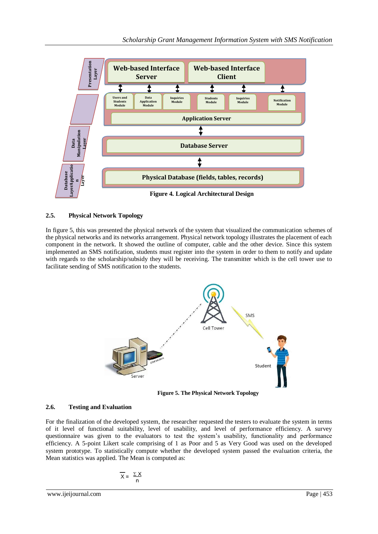

## **2.5. Physical Network Topology**

In figure 5, this was presented the physical network of the system that visualized the communication schemes of the physical networks and its networks arrangement. Physical network topology illustrates the placement of each component in the network. It showed the outline of computer, cable and the other device. Since this system implemented an SMS notification, students must register into the system in order to them to notify and update with regards to the scholarship/subsidy they will be receiving. The transmitter which is the cell tower use to facilitate sending of SMS notification to the students.



 **Figure 5. The Physical Network Topology**

## **2.6. Testing and Evaluation**

For the finalization of the developed system, the researcher requested the testers to evaluate the system in terms of it level of functional suitability, level of usability, and level of performance efficiency. A survey questionnaire was given to the evaluators to test the system's usability, functionality and performance efficiency. A 5-point Likert scale comprising of 1 as Poor and 5 as Very Good was used on the developed system prototype. To statistically compute whether the developed system passed the evaluation criteria, the Mean statistics was applied. The Mean is computed as:

$$
\overline{X} = \frac{\Sigma X}{n}
$$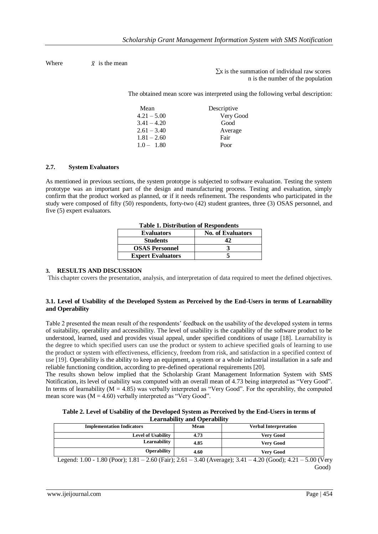Where  $\overline{x}$  is the mean

 $\Sigma x$  is the summation of individual raw scores n is the number of the population

The obtained mean score was interpreted using the following verbal description:

| Mean          | Descriptive |
|---------------|-------------|
| $4.21 - 5.00$ | Very Good   |
| $3.41 - 4.20$ | Good        |
| $2.61 - 3.40$ | Average     |
| $1.81 - 2.60$ | Fair        |
| $1.0 - 1.80$  | Poor        |

#### **2.7. System Evaluators**

As mentioned in previous sections, the system prototype is subjected to software evaluation. Testing the system prototype was an important part of the design and manufacturing process. Testing and evaluation, simply confirm that the product worked as planned, or if it needs refinement. The respondents who participated in the study were composed of fifty (50) respondents, forty-two (42) student grantees, three (3) OSAS personnel, and five (5) expert evaluators.

| <b>Table 1. Distribution of Respondents</b> |                          |
|---------------------------------------------|--------------------------|
| <b>Evaluators</b>                           | <b>No. of Evaluators</b> |
| <b>Students</b>                             |                          |
| <b>OSAS Personnel</b>                       |                          |
| <b>Expert Evaluators</b>                    |                          |

**Table 1. Distribution of Respondents**

#### **3. RESULTS AND DISCUSSION**

This chapter covers the presentation, analysis, and interpretation of data required to meet the defined objectives.

#### **3.1. Level of Usability of the Developed System as Perceived by the End-Users in terms of Learnability and Operability**

Table 2 presented the mean result of the respondents' feedback on the usability of the developed system in terms of suitability, operability and accessibility. The level of usability is the capability of the software product to be understood, learned, used and provides visual appeal, under specified conditions of usage [18]. Learnability is the degree to which specified users can use the product or system to achieve specified goals of learning to use the product or system with effectiveness, efficiency, freedom from risk, and satisfaction in a specified context of use [19]. Operability is the ability to keep an equipment, a system or a whole industrial installation in a safe and reliable functioning condition, according to pre-defined operational requirements [20].

The results shown below implied that the Scholarship Grant Management Information System with SMS Notification, its level of usability was computed with an overall mean of 4.73 being interpreted as "Very Good". In terms of learnability  $(M = 4.85)$  was verbally interpreted as "Very Good". For the operability, the computed mean score was  $(M = 4.60)$  verbally interpreted as "Very Good".

| Table 2. Level of Usability of the Developed System as Perceived by the End-Users in terms of |
|-----------------------------------------------------------------------------------------------|
| <b>Learnability and Operability</b>                                                           |

| Mean | <b>Verbal Interpretation</b> |
|------|------------------------------|
| 4.73 | <b>Very Good</b>             |
| 4.85 | <b>Very Good</b>             |
| 4.60 | <b>Very Good</b>             |
|      |                              |

Legend: 1.00 - 1.80 (Poor); 1.81 – 2.60 (Fair); 2.61 – 3.40 (Average); 3.41 – 4.20 (Good); 4.21 – 5.00 (Very Good)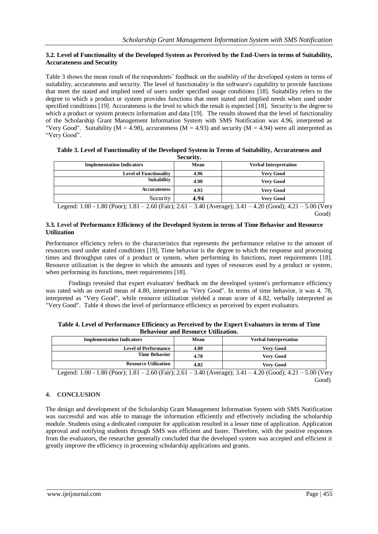#### **3.2. Level of Functionality of the Developed System as Perceived by the End-Users in terms of Suitability, Accurateness and Security**

Table 3 shows the mean result of the respondents' feedback on the usability of the developed system in terms of suitability, accurateness and security. The level of functionality is the software's capability to provide functions that meet the stated and implied need of users under specified usage conditions [18]. Suitability refers to the degree to which a product or system provides functions that meet stated and implied needs when used under specified conditions [19]. Accurateness is the level to which the result is expected [18]. Security is the degree to which a product or system protects information and data [19]. The results showed that the level of functionality of the Scholarship Grant Management Information System with SMS Notification was 4.96, interpreted as "Very Good". Suitability ( $M = 4.98$ ), accurateness ( $M = 4.93$ ) and security ( $M = 4.94$ ) were all interpreted as "Very Good".

| Table 3. Level of Functionality of the Developed System in Terms of Suitability, Accurateness and |  |
|---------------------------------------------------------------------------------------------------|--|
| Security.                                                                                         |  |

| <b>Implementation Indicators</b> | Mean | <b>Verbal Interpretation</b> |
|----------------------------------|------|------------------------------|
| <b>Level of Functionality</b>    | 4.96 | <b>Very Good</b>             |
| <b>Suitability</b>               | 4.98 | <b>Very Good</b>             |
| <b>Accurateness</b>              | 4.93 | <b>Very Good</b>             |
| Security                         | 4.94 | <b>Very Good</b>             |

Legend: 1.00 - 1.80 (Poor); 1.81 – 2.60 (Fair); 2.61 – 3.40 (Average); 3.41 – 4.20 (Good); 4.21 – 5.00 (Very Good)

#### **3.3. Level of Performance Efficiency of the Developed System in terms of Time Behavior and Resource Utilization**

Performance efficiency refers to the characteristics that represents the performance relative to the amount of resources used under stated conditions [19]. Time behavior is the degree to which the response and processing times and throughput rates of a product or system, when performing its functions, meet requirements [18]. Resource utilization is the degree to which the amounts and types of resources used by a product or system, when performing its functions, meet requirements [18].

Findings revealed that expert evaluators' feedback on the developed system's performance efficiency was rated with an overall mean of 4.80, interpreted as "Very Good". In terms of time behavior, it was 4. 78, interpreted as "Very Good", while resource utilization yielded a mean score of 4.82, verbally interpreted as "Very Good". Table 4 shows the level of performance efficiency as perceived by expert evaluators.

| Table 4. Level of Performance Efficiency as Perceived by the Expert Evaluators in terms of Time |
|-------------------------------------------------------------------------------------------------|
| <b>Behaviour and Resource Utilization.</b>                                                      |

| <b>Implementation Indicators</b> | Mean | <b>Verbal Interpretation</b> |
|----------------------------------|------|------------------------------|
| <b>Level of Performance</b>      | 4.80 | Very Good                    |
| <b>Time Behavior</b>             | 4.78 | <b>Very Good</b>             |
| <b>Resource Utilization</b>      | 4.82 | <b>Very Good</b>             |

Legend: 1.00 - 1.80 (Poor); 1.81 – 2.60 (Fair); 2.61 – 3.40 (Average); 3.41 – 4.20 (Good); 4.21 – 5.00 (Very Good)

## **4. CONCLUSION**

The design and development of the Scholarship Grant Management Information System with SMS Notification was successful and was able to manage the information efficiently and effectively including the scholarship module. Students using a dedicated computer for application resulted in a lesser time of application. Application approval and notifying students through SMS was efficient and faster. Therefore, with the positive responses from the evaluators, the researcher generally concluded that the developed system was accepted and efficient it greatly improve the efficiency in processing scholarship applications and grants.